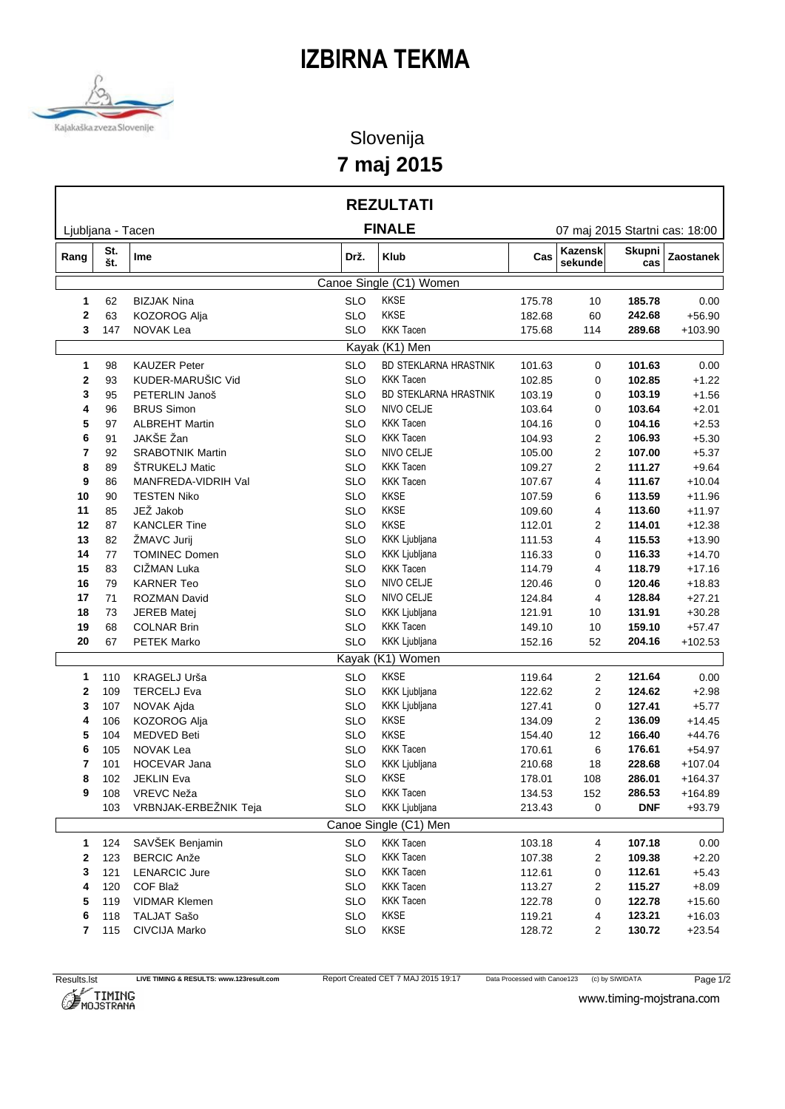## **IZBIRNA TEKMA**



## Slovenija **7 maj 2015**

|                   |            |                                          |                                | <b>REZULTATI</b>                      |                  |                                |                      |                      |
|-------------------|------------|------------------------------------------|--------------------------------|---------------------------------------|------------------|--------------------------------|----------------------|----------------------|
| Ljubljana - Tacen |            |                                          |                                | <b>FINALE</b>                         |                  | 07 maj 2015 Startni cas: 18:00 |                      |                      |
| Rang              | St.<br>št. | Ime                                      | Drž.                           | Klub                                  | Cas              | Kazensk<br>sekunde             | <b>Skupni</b><br>cas | Zaostanek            |
|                   |            |                                          |                                | Canoe Single (C1) Women               |                  |                                |                      |                      |
| 1                 | 62         | <b>BIZJAK Nina</b>                       | <b>SLO</b>                     | KKSE                                  | 175.78           | 10                             | 185.78               | 0.00                 |
| $\mathbf{2}$      | 63         | KOZOROG Alja                             | <b>SLO</b>                     | <b>KKSE</b>                           | 182.68           | 60                             | 242.68               | $+56.90$             |
| 3                 | 147        | NOVAK Lea                                | <b>KKK Tacen</b><br><b>SLO</b> |                                       |                  | 114                            | 289.68               | $+103.90$            |
|                   |            |                                          |                                | Kayak (K1) Men                        |                  |                                |                      |                      |
| $\mathbf{1}$      | 98         | <b>KAUZER Peter</b>                      | <b>SLO</b>                     | <b>BD STEKLARNA HRASTNIK</b>          | 101.63           | 0                              | 101.63               | 0.00                 |
| 2                 | 93         | KUDER-MARUŠIC Vid                        | <b>SLO</b>                     | <b>KKK Tacen</b>                      | 102.85           | 0                              | 102.85               | $+1.22$              |
| 3                 | 95         | PETERLIN Janoš                           | <b>SLO</b>                     | BD STEKLARNA HRASTNIK                 | 103.19           | 0                              | 103.19               | $+1.56$              |
| 4                 | 96         | <b>BRUS Simon</b>                        | <b>SLO</b>                     | NIVO CELJE                            | 103.64           | 0                              | 103.64               | $+2.01$              |
| 5                 | 97         | <b>ALBREHT Martin</b>                    | <b>SLO</b>                     | <b>KKK Tacen</b>                      | 104.16           | 0                              | 104.16               | $+2.53$              |
| 6                 | 91         | JAKŠE Žan                                | <b>SLO</b>                     | <b>KKK Tacen</b>                      | 104.93           | 2                              | 106.93<br>107.00     | $+5.30$              |
| 7                 | 92         | <b>SRABOTNIK Martin</b>                  | <b>SLO</b>                     | NIVO CELJE                            |                  | 105.00<br>2                    |                      | $+5.37$              |
| 8                 | 89         | ŠTRUKELJ Matic                           | <b>SLO</b>                     | <b>KKK Tacen</b>                      | 109.27           | 2                              | 111.27               | $+9.64$              |
| 9                 | 86         | MANFREDA-VIDRIH Val                      | <b>SLO</b>                     | <b>KKK Tacen</b>                      | 107.67           | 4                              | 111.67               | $+10.04$             |
| 10                | 90         | <b>TESTEN Niko</b>                       | <b>SLO</b>                     | <b>KKSE</b>                           | 107.59           | 6                              | 113.59               | $+11.96$             |
| 11                | 85         | JEŽ Jakob                                | <b>SLO</b>                     | <b>KKSE</b>                           | 109.60           | 4                              | 113.60               | $+11.97$             |
| 12                | 87         | <b>KANCLER Tine</b>                      | <b>SLO</b>                     | <b>KKSE</b>                           | 112.01           | 2                              | 114.01               | $+12.38$             |
| 13                | 82         | ŽMAVC Jurij                              | <b>SLO</b>                     | KKK Ljubljana<br><b>KKK Ljubljana</b> | 111.53           | 4                              | 115.53               | $+13.90$             |
| 14                | 77         | <b>TOMINEC Domen</b><br>CIŽMAN Luka      | <b>SLO</b><br><b>SLO</b>       | <b>KKK Tacen</b>                      | 116.33           | 0                              | 116.33               | $+14.70$             |
| 15<br>16          | 83<br>79   |                                          | <b>SLO</b>                     | NIVO CELJE                            | 114.79           | 4                              | 118.79<br>120.46     | $+17.16$             |
| 17                | 71         | <b>KARNER Teo</b><br><b>ROZMAN David</b> | <b>SLO</b>                     | NIVO CELJE                            | 120.46<br>124.84 | 0<br>4                         | 128.84               | $+18.83$<br>$+27.21$ |
| 18                | 73         | <b>JEREB Matej</b>                       | <b>SLO</b>                     | KKK Ljubljana                         | 121.91           | 10                             | 131.91               | $+30.28$             |
| 19                | 68         | <b>COLNAR Brin</b>                       | <b>SLO</b>                     | <b>KKK Tacen</b>                      | 149.10           | 10                             | 159.10               | $+57.47$             |
| 20                | 67         | PETEK Marko                              | <b>SLO</b>                     | KKK Ljubljana                         | 152.16           | 52                             | 204.16               | $+102.53$            |
|                   |            |                                          |                                | Kayak (K1) Women                      |                  |                                |                      |                      |
|                   | 110        | KRAGELJ Urša                             | <b>SLO</b>                     | <b>KKSE</b>                           | 119.64           |                                | 121.64               | 0.00                 |
| 1.<br>2           | 109        | <b>TERCELJ Eva</b>                       | <b>SLO</b>                     | KKK Ljubljana                         | 122.62           | 2                              | 124.62               | $+2.98$              |
| 3                 | 107        | NOVAK Ajda                               | <b>SLO</b>                     | KKK Ljubljana                         | 127.41           | $\overline{2}$<br>0            | 127.41               | $+5.77$              |
| 4                 | 106        | <b>KOZOROG Alja</b>                      | <b>SLO</b>                     | <b>KKSE</b>                           | 134.09           | 2                              | 136.09               | $+14.45$             |
| 5                 | 104        | <b>MEDVED Beti</b>                       | <b>SLO</b>                     | <b>KKSE</b>                           | 154.40           | 12                             | 166.40               | $+44.76$             |
| 6                 | 105        | NOVAK Lea                                | <b>SLO</b>                     | <b>KKK Tacen</b>                      | 170.61           | 6                              | 176.61               | $+54.97$             |
| 7                 | 101        | HOCEVAR Jana                             | <b>SLO</b>                     | KKK Ljubljana                         | 210.68           | 18                             | 228.68               | $+107.04$            |
| 8                 | 102        | <b>JEKLIN Eva</b>                        | SLO                            | KKSE                                  | 178.01           | 108                            | 286.01               | $+164.37$            |
| 9                 | 108        | VREVC Neža                               | <b>SLO</b>                     | <b>KKK Tacen</b>                      | 134.53           | 152                            | 286.53               | $+164.89$            |
|                   | 103        | VRBNJAK-ERBEŽNIK Teja                    | <b>SLO</b>                     | KKK Ljubljana                         | 213.43           | 0                              | <b>DNF</b>           | $+93.79$             |
|                   |            |                                          |                                | Canoe Single (C1) Men                 |                  |                                |                      |                      |
| 1                 | 124        | SAVŠEK Benjamin                          | <b>SLO</b>                     | <b>KKK Tacen</b>                      | 103.18           | 4                              | 107.18               | 0.00                 |
| 2                 | 123        | <b>BERCIC Anže</b>                       | <b>SLO</b>                     | <b>KKK Tacen</b>                      | 107.38           | $\overline{2}$                 | 109.38               | $+2.20$              |
| 3                 | 121        | <b>LENARCIC Jure</b>                     | <b>SLO</b>                     | <b>KKK Tacen</b>                      | 112.61           | 0                              | 112.61               | $+5.43$              |
| 4                 | 120        | COF Blaž                                 | <b>SLO</b>                     | <b>KKK Tacen</b>                      | 113.27           | 2                              | 115.27               | $+8.09$              |
| 5                 | 119        | <b>VIDMAR Klemen</b>                     | <b>SLO</b>                     | <b>KKK Tacen</b>                      | 122.78           | 0                              | 122.78               | $+15.60$             |
| 6                 | 118        | TALJAT Sašo                              | <b>SLO</b>                     | KKSE                                  | 119.21           | 4                              | 123.21               | $+16.03$             |
| 7                 | 115        | CIVCIJA Marko                            | <b>SLO</b>                     | KKSE                                  | 128.72           | 2                              | 130.72               | $+23.54$             |
|                   |            |                                          |                                |                                       |                  |                                |                      |                      |



www.timing-mojstrana.com